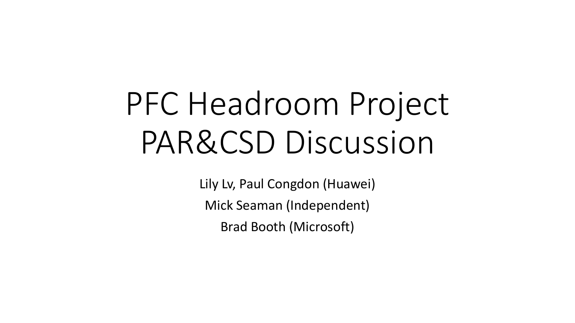# PFC Headroom Project PAR&CSD Discussion

Lily Lv, Paul Congdon (Huawei) Mick Seaman (Independent) Brad Booth (Microsoft)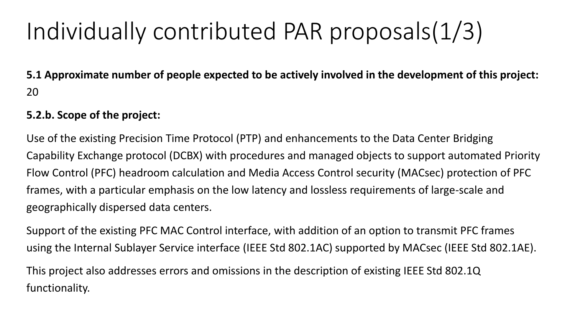## Individually contributed PAR proposals(1/3)

**5.1 Approximate number of people expected to be actively involved in the development of this project:**  20

#### **5.2.b. Scope of the project:**

Use of the existing Precision Time Protocol (PTP) and enhancements to the Data Center Bridging Capability Exchange protocol (DCBX) with procedures and managed objects to support automated Priority Flow Control (PFC) headroom calculation and Media Access Control security (MACsec) protection of PFC frames, with a particular emphasis on the low latency and lossless requirements of large-scale and geographically dispersed data centers.

Support of the existing PFC MAC Control interface, with addition of an option to transmit PFC frames using the Internal Sublayer Service interface (IEEE Std 802.1AC) supported by MACsec (IEEE Std 802.1AE).

This project also addresses errors and omissions in the description of existing IEEE Std 802.1Q functionality.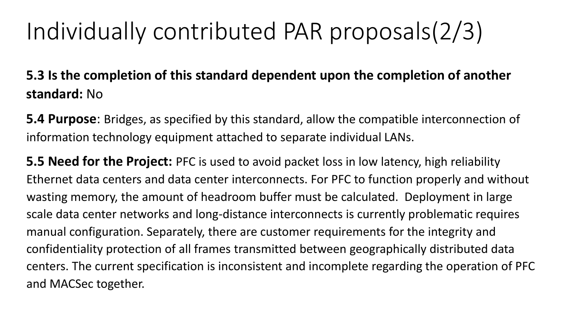### Individually contributed PAR proposals(2/3)

**5.3 Is the completion of this standard dependent upon the completion of another standard:** No

**5.4 Purpose**: Bridges, as specified by this standard, allow the compatible interconnection of information technology equipment attached to separate individual LANs.

**5.5 Need for the Project:** PFC is used to avoid packet loss in low latency, high reliability Ethernet data centers and data center interconnects. For PFC to function properly and without wasting memory, the amount of headroom buffer must be calculated. Deployment in large scale data center networks and long-distance interconnects is currently problematic requires manual configuration. Separately, there are customer requirements for the integrity and confidentiality protection of all frames transmitted between geographically distributed data centers. The current specification is inconsistent and incomplete regarding the operation of PFC and MACSec together.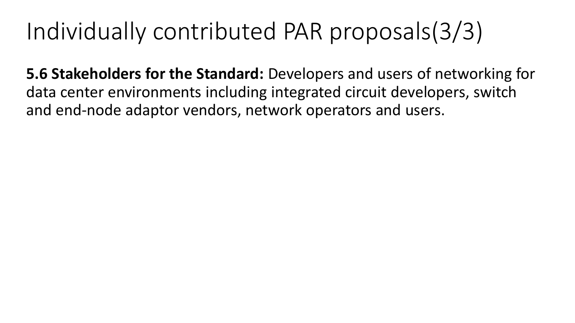### Individually contributed PAR proposals(3/3)

**5.6 Stakeholders for the Standard:** Developers and users of networking for data center environments including integrated circuit developers, switch and end-node adaptor vendors, network operators and users.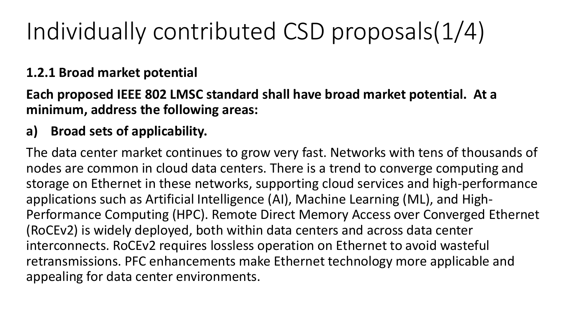## Individually contributed CSD proposals(1/4)

### **1.2.1 Broad market potential**

### **Each proposed IEEE 802 LMSC standard shall have broad market potential. At a minimum, address the following areas:**

### **a) Broad sets of applicability.**

The data center market continues to grow very fast. Networks with tens of thousands of nodes are common in cloud data centers. There is a trend to converge computing and storage on Ethernet in these networks, supporting cloud services and high-performance applications such as Artificial Intelligence (AI), Machine Learning (ML), and High-Performance Computing (HPC). Remote Direct Memory Access over Converged Ethernet (RoCEv2) is widely deployed, both within data centers and across data center interconnects. RoCEv2 requires lossless operation on Ethernet to avoid wasteful retransmissions. PFC enhancements make Ethernet technology more applicable and appealing for data center environments.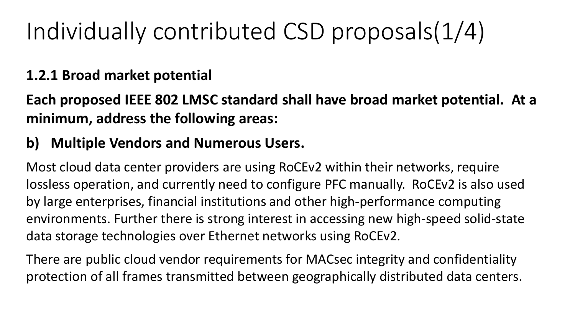## Individually contributed CSD proposals(1/4)

### **1.2.1 Broad market potential**

**Each proposed IEEE 802 LMSC standard shall have broad market potential. At a minimum, address the following areas:**

### **b) Multiple Vendors and Numerous Users.**

Most cloud data center providers are using RoCEv2 within their networks, require lossless operation, and currently need to configure PFC manually. RoCEv2 is also used by large enterprises, financial institutions and other high-performance computing environments. Further there is strong interest in accessing new high-speed solid-state data storage technologies over Ethernet networks using RoCEv2.

There are public cloud vendor requirements for MACsec integrity and confidentiality protection of all frames transmitted between geographically distributed data centers.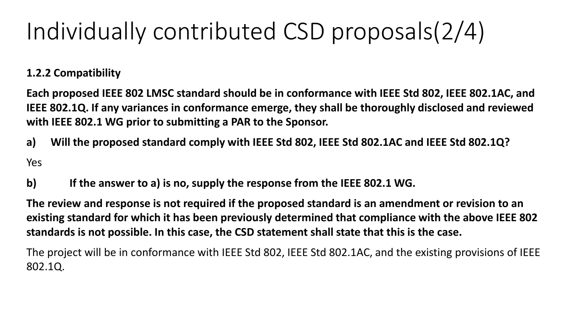## Individually contributed CSD proposals(2/4)

#### **1.2.2 Compatibility**

**Each proposed IEEE 802 LMSC standard should be in conformance with IEEE Std 802, IEEE 802.1AC, and IEEE 802.1Q. If any variances in conformance emerge, they shall be thoroughly disclosed and reviewed with IEEE 802.1 WG prior to submitting a PAR to the Sponsor.**

- **a) Will the proposed standard comply with IEEE Std 802, IEEE Std 802.1AC and IEEE Std 802.1Q?** Yes
- **b) If the answer to a) is no, supply the response from the IEEE 802.1 WG.**

**The review and response is not required if the proposed standard is an amendment or revision to an existing standard for which it has been previously determined that compliance with the above IEEE 802 standards is not possible. In this case, the CSD statement shall state that this is the case.**

The project will be in conformance with IEEE Std 802, IEEE Std 802.1AC, and the existing provisions of IEEE 802.1Q.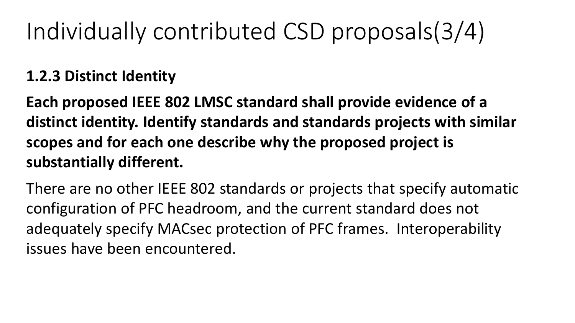## Individually contributed CSD proposals(3/4)

### **1.2.3 Distinct Identity**

**Each proposed IEEE 802 LMSC standard shall provide evidence of a distinct identity. Identify standards and standards projects with similar scopes and for each one describe why the proposed project is substantially different.**

There are no other IEEE 802 standards or projects that specify automatic configuration of PFC headroom, and the current standard does not adequately specify MACsec protection of PFC frames. Interoperability issues have been encountered.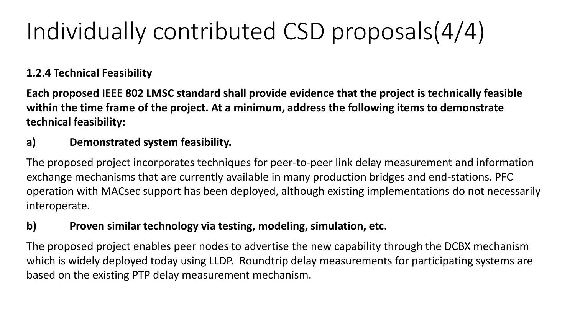## Individually contributed CSD proposals(4/4)

#### **1.2.4 Technical Feasibility**

**Each proposed IEEE 802 LMSC standard shall provide evidence that the project is technically feasible within the time frame of the project. At a minimum, address the following items to demonstrate technical feasibility:**

#### **a) Demonstrated system feasibility.**

The proposed project incorporates techniques for peer-to-peer link delay measurement and information exchange mechanisms that are currently available in many production bridges and end-stations. PFC operation with MACsec support has been deployed, although existing implementations do not necessarily interoperate.

#### **b) Proven similar technology via testing, modeling, simulation, etc.**

The proposed project enables peer nodes to advertise the new capability through the DCBX mechanism which is widely deployed today using LLDP. Roundtrip delay measurements for participating systems are based on the existing PTP delay measurement mechanism.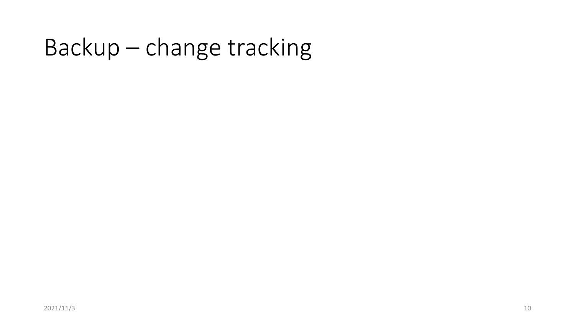### Backup – change tracking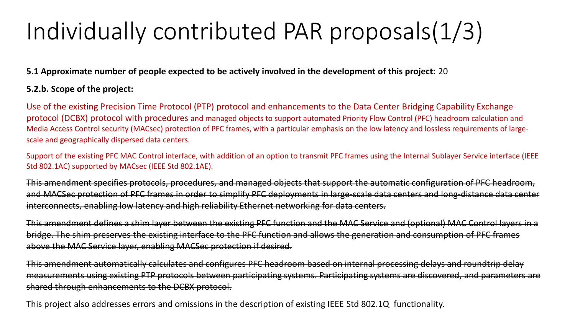## Individually contributed PAR proposals(1/3)

#### **5.1 Approximate number of people expected to be actively involved in the development of this project:** 20

#### **5.2.b. Scope of the project:**

Use of the existing Precision Time Protocol (PTP) protocol and enhancements to the Data Center Bridging Capability Exchange protocol (DCBX) protocol with procedures and managed objects to support automated Priority Flow Control (PFC) headroom calculation and Media Access Control security (MACsec) protection of PFC frames, with a particular emphasis on the low latency and lossless requirements of largescale and geographically dispersed data centers.

Support of the existing PFC MAC Control interface, with addition of an option to transmit PFC frames using the Internal Sublayer Service interface (IEEE Std 802.1AC) supported by MACsec (IEEE Std 802.1AE).

This amendment specifies protocols, procedures, and managed objects that support the automatic configuration of PFC headroom, and MACSec protection of PFC frames in order to simplify PFC deployments in large-scale data centers and long-distance data center interconnects, enabling low latency and high reliability Ethernet networking for data centers.

This amendment defines a shim layer between the existing PFC function and the MAC Service and (optional) MAC Control layers in a bridge. The shim preserves the existing interface to the PFC function and allows the generation and consumption of PFC frames above the MAC Service layer, enabling MACSec protection if desired.

This amendment automatically calculates and configures PFC headroom based on internal processing delays and roundtrip delay measurements using existing PTP protocols between participating systems. Participating systems are discovered, and parameters are shared through enhancements to the DCBX protocol.

This project also addresses errors and omissions in the description of existing IEEE Std 802.1Q functionality.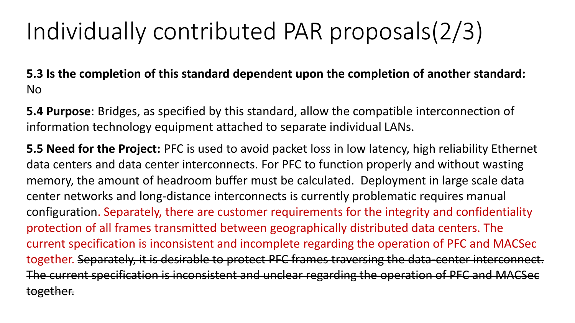## Individually contributed PAR proposals(2/3)

**5.3 Is the completion of this standard dependent upon the completion of another standard:**  No

**5.4 Purpose**: Bridges, as specified by this standard, allow the compatible interconnection of information technology equipment attached to separate individual LANs.

**5.5 Need for the Project:** PFC is used to avoid packet loss in low latency, high reliability Ethernet data centers and data center interconnects. For PFC to function properly and without wasting memory, the amount of headroom buffer must be calculated. Deployment in large scale data center networks and long-distance interconnects is currently problematic requires manual configuration. Separately, there are customer requirements for the integrity and confidentiality protection of all frames transmitted between geographically distributed data centers. The current specification is inconsistent and incomplete regarding the operation of PFC and MACSec together. Separately, it is desirable to protect PFC frames traversing the data-center interconnect. The current specification is inconsistent and unclear regarding the operation of PFC and MACSec together.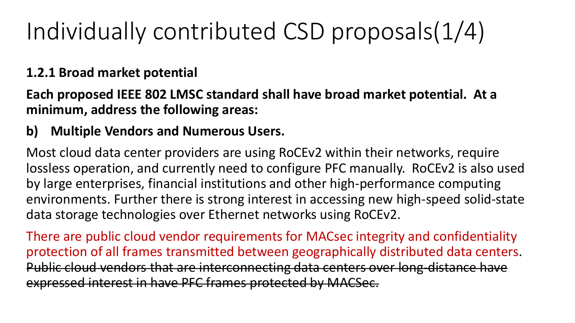## Individually contributed CSD proposals(1/4)

### **1.2.1 Broad market potential**

### **Each proposed IEEE 802 LMSC standard shall have broad market potential. At a minimum, address the following areas:**

### **b) Multiple Vendors and Numerous Users.**

Most cloud data center providers are using RoCEv2 within their networks, require lossless operation, and currently need to configure PFC manually. RoCEv2 is also used by large enterprises, financial institutions and other high-performance computing environments. Further there is strong interest in accessing new high-speed solid-state data storage technologies over Ethernet networks using RoCEv2.

There are public cloud vendor requirements for MACsec integrity and confidentiality protection of all frames transmitted between geographically distributed data centers. Public cloud vendors that are interconnecting data centers over long-distance have expressed interest in have PFC frames protected by MACSec.